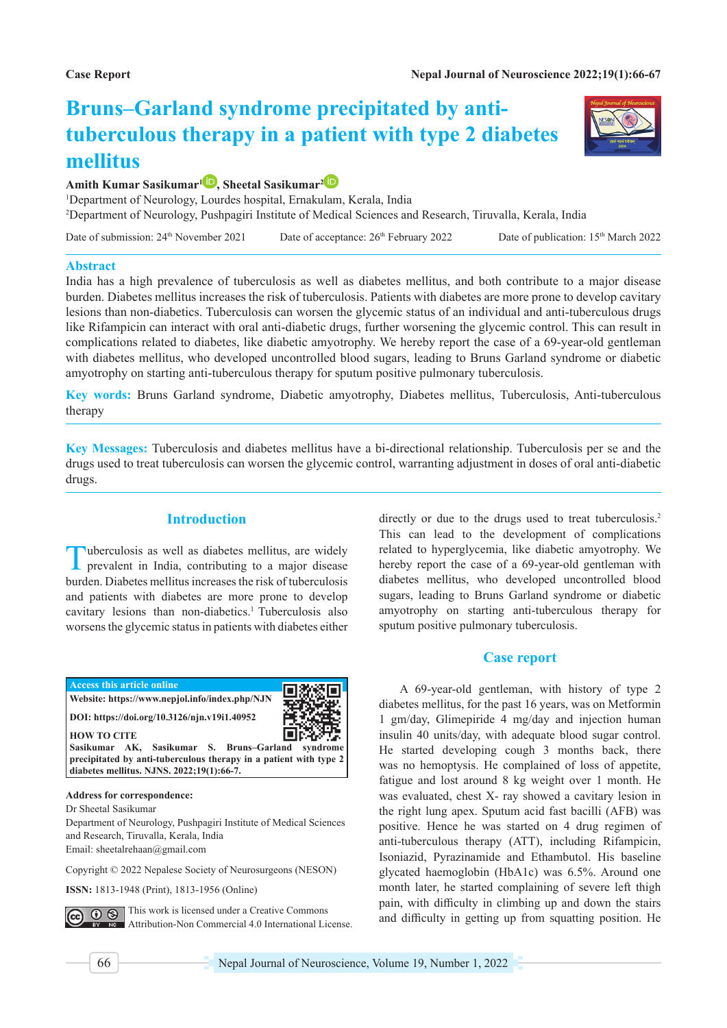# **Bruns–Garland syndrome precipitated by antituberculous therapy in a patient with type 2 diabetes mellitus**



# **Amith Kumar Sasikumar1 [,](https://orcid.org/0000-0003-1153-051X) Sheetal Sasikumar[2](https://orcid.org/0000-0003-3269-3828)**

1 Department of Neurology, Lourdes hospital, Ernakulam, Kerala, India 2 Department of Neurology, Pushpagiri Institute of Medical Sciences and Research, Tiruvalla, Kerala, India

Date of submission: 24<sup>th</sup> November 2021 Date of acceptance: 26<sup>th</sup> February 2022 Date of publication: 15<sup>th</sup> March 2022

### **Abstract**

India has a high prevalence of tuberculosis as well as diabetes mellitus, and both contribute to a major disease burden. Diabetes mellitus increases the risk of tuberculosis. Patients with diabetes are more prone to develop cavitary lesions than non-diabetics. Tuberculosis can worsen the glycemic status of an individual and anti-tuberculous drugs like Rifampicin can interact with oral anti-diabetic drugs, further worsening the glycemic control. This can result in complications related to diabetes, like diabetic amyotrophy. We hereby report the case of a 69-year-old gentleman with diabetes mellitus, who developed uncontrolled blood sugars, leading to Bruns Garland syndrome or diabetic amyotrophy on starting anti-tuberculous therapy for sputum positive pulmonary tuberculosis.

**Key words:** Bruns Garland syndrome, Diabetic amyotrophy, Diabetes mellitus, Tuberculosis, Anti-tuberculous therapy

**Key Messages:** Tuberculosis and diabetes mellitus have a bi-directional relationship. Tuberculosis per se and the drugs used to treat tuberculosis can worsen the glycemic control, warranting adjustment in doses of oral anti-diabetic drugs.

## **Introduction**

Tuberculosis as well as diabetes mellitus, are widely prevalent in India, contributing to a major disease burden. Diabetes mellitus increases the risk of tuberculosis and patients with diabetes are more prone to develop cavitary lesions than non-diabetics.<sup>1</sup> Tuberculosis also worsens the glycemic status in patients with diabetes either



## **Address for correspondence:**

Dr Sheetal Sasikumar

Department of Neurology, Pushpagiri Institute of Medical Sciences and Research, Tiruvalla, Kerala, India Email: sheetalrehaan@gmail.com

Copyright © 2022 Nepalese Society of Neurosurgeons (NESON)

**ISSN:** 1813-1948 (Print), 1813-1956 (Online)

This work is licensed under a Creative Commons  $69$ Attribution-Non Commercial 4.0 International License. directly or due to the drugs used to treat tuberculosis.<sup>2</sup> This can lead to the development of complications related to hyperglycemia, like diabetic amyotrophy. We hereby report the case of a 69-year-old gentleman with diabetes mellitus, who developed uncontrolled blood sugars, leading to Bruns Garland syndrome or diabetic amyotrophy on starting anti-tuberculous therapy for sputum positive pulmonary tuberculosis.

## **Case report**

A 69-year-old gentleman, with history of type 2 diabetes mellitus, for the past 16 years, was on Metformin 1 gm/day, Glimepiride 4 mg/day and injection human insulin 40 units/day, with adequate blood sugar control. He started developing cough 3 months back, there was no hemoptysis. He complained of loss of appetite, fatigue and lost around 8 kg weight over 1 month. He was evaluated, chest X- ray showed a cavitary lesion in the right lung apex. Sputum acid fast bacilli (AFB) was positive. Hence he was started on 4 drug regimen of anti-tuberculous therapy (ATT), including Rifampicin, Isoniazid, Pyrazinamide and Ethambutol. His baseline glycated haemoglobin (HbA1c) was 6.5%. Around one month later, he started complaining of severe left thigh pain, with difficulty in climbing up and down the stairs and difficulty in getting up from squatting position. He